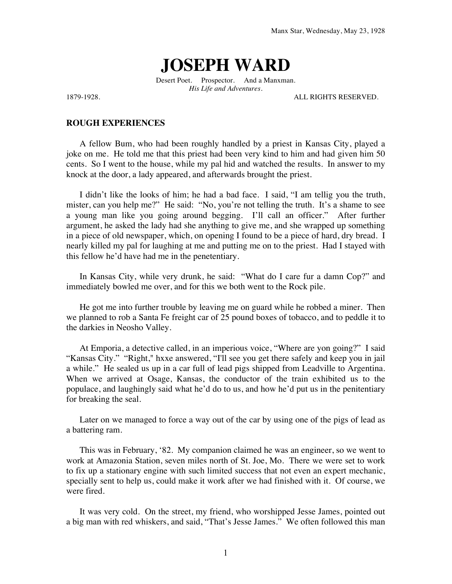## **JOSEPH WARD**

Desert Poet. Prospector. And a Manxman. *His Life and Adventures.*

1879-1928. ALL RIGHTS RESERVED.

## **ROUGH EXPERIENCES**

A fellow Bum, who had been roughly handled by a priest in Kansas City, played a joke on me. He told me that this priest had been very kind to him and had given him 50 cents. So I went to the house, while my pal hid and watched the results. In answer to my knock at the door, a lady appeared, and afterwards brought the priest.

I didn't like the looks of him; he had a bad face. I said, "I am tellig you the truth, mister, can you help me?" He said: "No, you're not telling the truth. It's a shame to see a young man like you going around begging. I'll call an officer." After further argument, he asked the lady had she anything to give me, and she wrapped up something in a piece of old newspaper, which, on opening I found to be a piece of hard, dry bread. I nearly killed my pal for laughing at me and putting me on to the priest. Had I stayed with this fellow he'd have had me in the penetentiary.

In Kansas City, while very drunk, he said: "What do I care fur a damn Cop?" and immediately bowled me over, and for this we both went to the Rock pile.

He got me into further trouble by leaving me on guard while he robbed a miner. Then we planned to rob a Santa Fe freight car of 25 pound boxes of tobacco, and to peddle it to the darkies in Neosho Valley.

At Emporia, a detective called, in an imperious voice, "Where are yon going?" I said "Kansas City." "Right," hxxe answered, "I'll see you get there safely and keep you in jail a while." He sealed us up in a car full of lead pigs shipped from Leadville to Argentina. When we arrived at Osage, Kansas, the conductor of the train exhibited us to the populace, and laughingly said what he'd do to us, and how he'd put us in the penitentiary for breaking the seal.

Later on we managed to force a way out of the car by using one of the pigs of lead as a battering ram.

This was in February, '82. My companion claimed he was an engineer, so we went to work at Amazonia Station, seven miles north of St. Joe, Mo. There we were set to work to fix up a stationary engine with such limited success that not even an expert mechanic, specially sent to help us, could make it work after we had finished with it. Of course, we were fired.

It was very cold. On the street, my friend, who worshipped Jesse James, pointed out a big man with red whiskers, and said, "That's Jesse James." We often followed this man